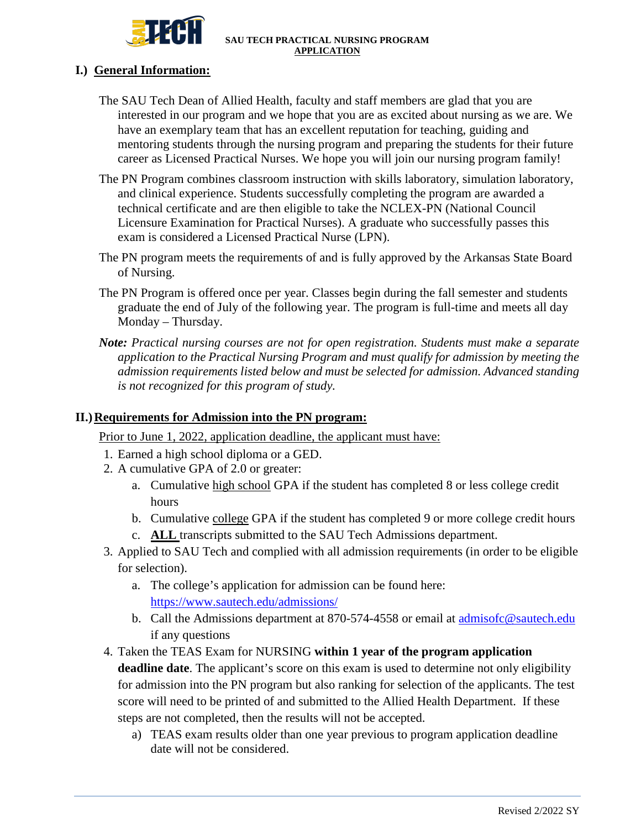

## **I.) General Information:**

- The SAU Tech Dean of Allied Health, faculty and staff members are glad that you are interested in our program and we hope that you are as excited about nursing as we are. We have an exemplary team that has an excellent reputation for teaching, guiding and mentoring students through the nursing program and preparing the students for their future career as Licensed Practical Nurses. We hope you will join our nursing program family!
- The PN Program combines classroom instruction with skills laboratory, simulation laboratory, and clinical experience. Students successfully completing the program are awarded a technical certificate and are then eligible to take the NCLEX-PN (National Council Licensure Examination for Practical Nurses). A graduate who successfully passes this exam is considered a Licensed Practical Nurse (LPN).
- The PN program meets the requirements of and is fully approved by the Arkansas State Board of Nursing.
- The PN Program is offered once per year. Classes begin during the fall semester and students graduate the end of July of the following year. The program is full-time and meets all day Monday – Thursday.
- *Note: Practical nursing courses are not for open registration. Students must make a separate application to the Practical Nursing Program and must qualify for admission by meeting the admission requirements listed below and must be selected for admission. Advanced standing is not recognized for this program of study.*

## **II.)** Requirements for Admission into the PN program:

Prior to June 1, 2022, application deadline, the applicant must have:

- 1. Earned a high school diploma or a GED.
- 2. A cumulative GPA of 2.0 or greater:
	- a. Cumulative high school GPA if the student has completed 8 or less college credit hours
	- b. Cumulative college GPA if the student has completed 9 or more college credit hours
	- c. **ALL** transcripts submitted to the SAU Tech Admissions department.
- 3. Applied to SAU Tech and complied with all admission requirements (in order to be eligible for selection).
	- a. The college's application for admission can be found here: <https://www.sautech.edu/admissions/>
	- b. Call the Admissions department at 870-574-4558 or email at admisofc@sautech.edu if any questions
- 4. Taken the TEAS Exam for NURSING **within 1 year of the program application deadline date**. The applicant's score on this exam is used to determine not only eligibility for admission into the PN program but also ranking for selection of the applicants. The test score will need to be printed of and submitted to the Allied Health Department. If these steps are not completed, then the results will not be accepted.
	- a) TEAS exam results older than one year previous to program application deadline date will not be considered.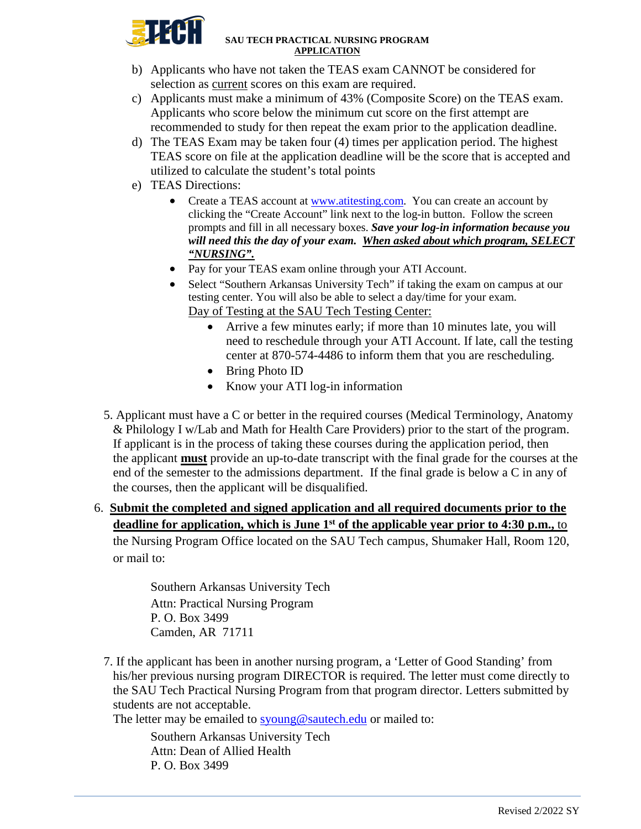

- b) Applicants who have not taken the TEAS exam CANNOT be considered for selection as current scores on this exam are required.
- c) Applicants must make a minimum of 43% (Composite Score) on the TEAS exam. Applicants who score below the minimum cut score on the first attempt are recommended to study for then repeat the exam prior to the application deadline.
- d) The TEAS Exam may be taken four (4) times per application period. The highest TEAS score on file at the application deadline will be the score that is accepted and utilized to calculate the student's total points
- e) TEAS Directions:
	- Create a TEAS account at [www.atitesting.com.](http://www.atitesting.com/) You can create an account by clicking the "Create Account" link next to the log-in button. Follow the screen prompts and fill in all necessary boxes. *Save your log-in information because you will need this the day of your exam. When asked about which program, SELECT "NURSING".*
	- Pay for your TEAS exam online through your ATI Account.
	- Select "Southern Arkansas University Tech" if taking the exam on campus at our testing center. You will also be able to select a day/time for your exam. Day of Testing at the SAU Tech Testing Center:
		- Arrive a few minutes early; if more than 10 minutes late, you will need to reschedule through your ATI Account. If late, call the testing center at 870-574-4486 to inform them that you are rescheduling.
		- Bring Photo ID
		- Know your ATI log-in information
- 5. Applicant must have a C or better in the required courses (Medical Terminology, Anatomy & Philology I w/Lab and Math for Health Care Providers) prior to the start of the program. If applicant is in the process of taking these courses during the application period, then the applicant **must** provide an up-to-date transcript with the final grade for the courses at the end of the semester to the admissions department. If the final grade is below a C in any of the courses, then the applicant will be disqualified.
- 6. **Submit the completed and signed application and all required documents prior to the**  deadline for application, which is June 1<sup>st</sup> of the applicable year prior to 4:30 p.m., to the Nursing Program Office located on the SAU Tech campus, Shumaker Hall, Room 120, or mail to:

 Southern Arkansas University Tech Attn: Practical Nursing Program P. O. Box 3499 Camden, AR 71711

7. If the applicant has been in another nursing program, a 'Letter of Good Standing' from his/her previous nursing program DIRECTOR is required. The letter must come directly to the SAU Tech Practical Nursing Program from that program director. Letters submitted by students are not acceptable.

The letter may be emailed to [syoung@sautech.edu](mailto:syoung@sautech.edu) or mailed to:

Southern Arkansas University Tech Attn: Dean of Allied Health P. O. Box 3499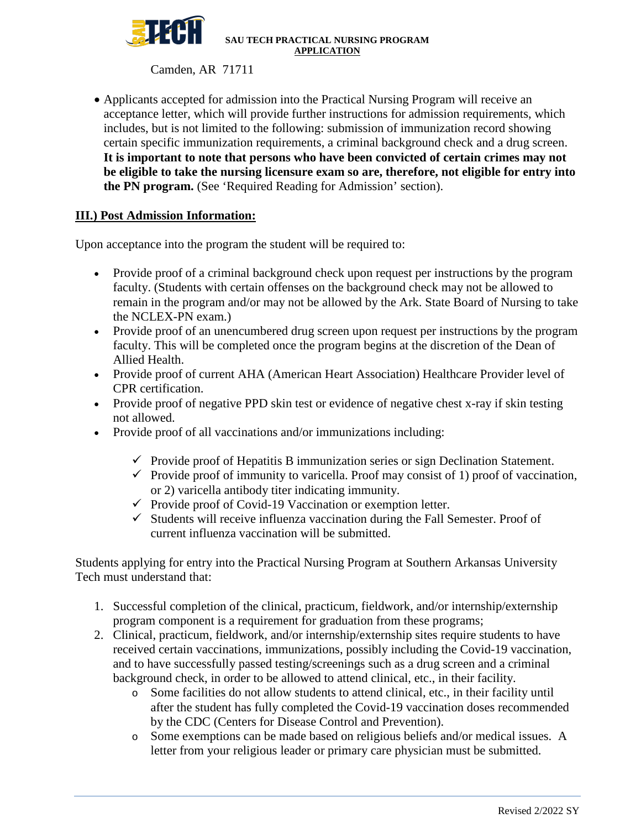

Camden, AR 71711

• Applicants accepted for admission into the Practical Nursing Program will receive an acceptance letter, which will provide further instructions for admission requirements, which includes, but is not limited to the following: submission of immunization record showing certain specific immunization requirements, a criminal background check and a drug screen. **It is important to note that persons who have been convicted of certain crimes may not be eligible to take the nursing licensure exam so are, therefore, not eligible for entry into the PN program.** (See 'Required Reading for Admission' section).

# **III.) Post Admission Information:**

Upon acceptance into the program the student will be required to:

- Provide proof of a criminal background check upon request per instructions by the program faculty. (Students with certain offenses on the background check may not be allowed to remain in the program and/or may not be allowed by the Ark. State Board of Nursing to take the NCLEX-PN exam.)
- Provide proof of an unencumbered drug screen upon request per instructions by the program faculty. This will be completed once the program begins at the discretion of the Dean of Allied Health.
- Provide proof of current AHA (American Heart Association) Healthcare Provider level of CPR certification.
- Provide proof of negative PPD skin test or evidence of negative chest x-ray if skin testing not allowed.
- Provide proof of all vaccinations and/or immunizations including:
	- $\checkmark$  Provide proof of Hepatitis B immunization series or sign Declination Statement.
	- $\checkmark$  Provide proof of immunity to varicella. Proof may consist of 1) proof of vaccination, or 2) varicella antibody titer indicating immunity.
	- $\checkmark$  Provide proof of Covid-19 Vaccination or exemption letter.
	- $\checkmark$  Students will receive influenza vaccination during the Fall Semester. Proof of current influenza vaccination will be submitted.

Students applying for entry into the Practical Nursing Program at Southern Arkansas University Tech must understand that:

- 1. Successful completion of the clinical, practicum, fieldwork, and/or internship/externship program component is a requirement for graduation from these programs;
- 2. Clinical, practicum, fieldwork, and/or internship/externship sites require students to have received certain vaccinations, immunizations, possibly including the Covid-19 vaccination, and to have successfully passed testing/screenings such as a drug screen and a criminal background check, in order to be allowed to attend clinical, etc., in their facility.
	- o Some facilities do not allow students to attend clinical, etc., in their facility until after the student has fully completed the Covid-19 vaccination doses recommended by the CDC (Centers for Disease Control and Prevention).
	- o Some exemptions can be made based on religious beliefs and/or medical issues. A letter from your religious leader or primary care physician must be submitted.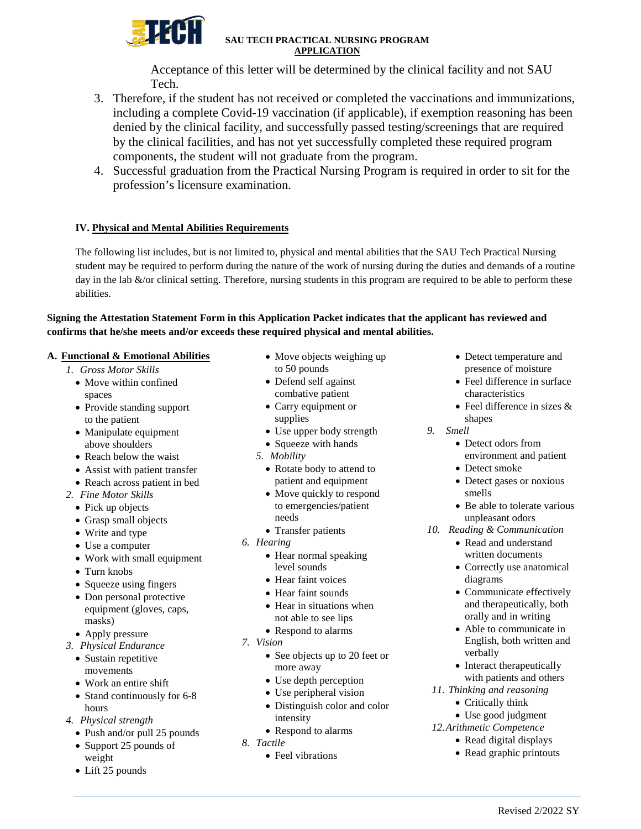

Acceptance of this letter will be determined by the clinical facility and not SAU Tech.

- 3. Therefore, if the student has not received or completed the vaccinations and immunizations, including a complete Covid-19 vaccination (if applicable), if exemption reasoning has been denied by the clinical facility, and successfully passed testing/screenings that are required by the clinical facilities, and has not yet successfully completed these required program components, the student will not graduate from the program.
- 4. Successful graduation from the Practical Nursing Program is required in order to sit for the profession's licensure examination.

## **IV. Physical and Mental Abilities Requirements**

The following list includes, but is not limited to, physical and mental abilities that the SAU Tech Practical Nursing student may be required to perform during the nature of the work of nursing during the duties and demands of a routine day in the lab &/or clinical setting. Therefore, nursing students in this program are required to be able to perform these abilities.

## **Signing the Attestation Statement Form in this Application Packet indicates that the applicant has reviewed and confirms that he/she meets and/or exceeds these required physical and mental abilities.**

### **A. Functional & Emotional Abilities**

- *1. Gross Motor Skills*
	- Move within confined spaces
	- Provide standing support to the patient
	- Manipulate equipment above shoulders
	- Reach below the waist
	- Assist with patient transfer
	- Reach across patient in bed
- *2. Fine Motor Skills*
	- Pick up objects
	- Grasp small objects
	- Write and type
	- Use a computer
	- Work with small equipment
	- Turn knobs
	- Squeeze using fingers
	- Don personal protective equipment (gloves, caps, masks)
	- Apply pressure
- *3. Physical Endurance* 
	- Sustain repetitive movements
	- Work an entire shift
	- Stand continuously for 6-8 hours
- *4. Physical strength*
	- Push and/or pull 25 pounds
	- Support 25 pounds of weight
	- Lift 25 pounds
- Move objects weighing up to 50 pounds
- Defend self against combative patient
- Carry equipment or supplies
- Use upper body strength
- Squeeze with hands
- *5. Mobility*
	- Rotate body to attend to patient and equipment
	- Move quickly to respond to emergencies/patient needs
	- Transfer patients
- *6. Hearing*
	- Hear normal speaking level sounds
	- Hear faint voices
	- Hear faint sounds
	- Hear in situations when not able to see lips
	- Respond to alarms
- *7. Vision*
	- See objects up to 20 feet or more away
	- Use depth perception
	- Use peripheral vision
	- Distinguish color and color intensity
	- Respond to alarms
- *8. Tactile*
	- Feel vibrations
- Detect temperature and presence of moisture
- Feel difference in surface characteristics
- Feel difference in sizes & shapes
- *9. Smell*
	- Detect odors from environment and patient
	- Detect smoke
	- Detect gases or noxious smells
	- Be able to tolerate various unpleasant odors
- *10. Reading & Communication*
	- Read and understand written documents
	- Correctly use anatomical diagrams
	- Communicate effectively and therapeutically, both orally and in writing
	- Able to communicate in English, both written and verbally
	- Interact therapeutically with patients and others
- *11. Thinking and reasoning*
	- Critically think
	- Use good judgment
- *12.Arithmetic Competence*
	- Read digital displays • Read graphic printouts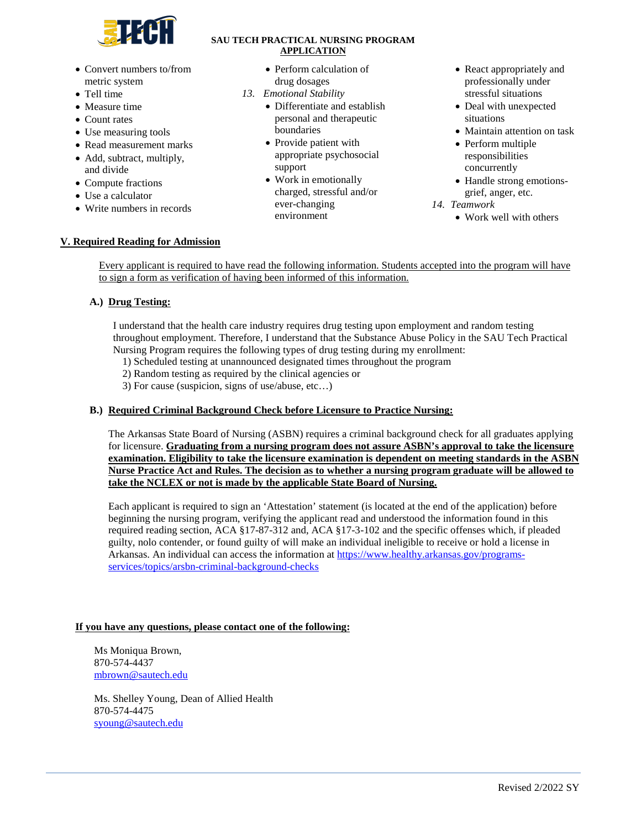

- Convert numbers to/from metric system
- Tell time
- Measure time
- Count rates
- Use measuring tools
- Read measurement marks
- Add, subtract, multiply, and divide
- Compute fractions
- Use a calculator
- Write numbers in records

- Perform calculation of drug dosages
- *13. Emotional Stability*
	- Differentiate and establish personal and therapeutic boundaries
	- Provide patient with appropriate psychosocial support
	- Work in emotionally charged, stressful and/or ever-changing environment
- React appropriately and professionally under stressful situations
- Deal with unexpected situations
- Maintain attention on task
- Perform multiple responsibilities concurrently
- Handle strong emotionsgrief, anger, etc.
- *14. Teamwork* 
	- Work well with others

### **V. Required Reading for Admission**

Every applicant is required to have read the following information. Students accepted into the program will have to sign a form as verification of having been informed of this information.

## **A.) Drug Testing:**

I understand that the health care industry requires drug testing upon employment and random testing throughout employment. Therefore, I understand that the Substance Abuse Policy in the SAU Tech Practical Nursing Program requires the following types of drug testing during my enrollment:

- 1) Scheduled testing at unannounced designated times throughout the program
- 2) Random testing as required by the clinical agencies or
- 3) For cause (suspicion, signs of use/abuse, etc…)

### **B.) Required Criminal Background Check before Licensure to Practice Nursing:**

The Arkansas State Board of Nursing (ASBN) requires a criminal background check for all graduates applying for licensure. **Graduating from a nursing program does not assure ASBN's approval to take the licensure examination. Eligibility to take the licensure examination is dependent on meeting standards in the ASBN Nurse Practice Act and Rules. The decision as to whether a nursing program graduate will be allowed to take the NCLEX or not is made by the applicable State Board of Nursing.**

Each applicant is required to sign an 'Attestation' statement (is located at the end of the application) before beginning the nursing program, verifying the applicant read and understood the information found in this required reading section, ACA §17-87-312 and, ACA §17-3-102 and the specific offenses which, if pleaded guilty, nolo contender, or found guilty of will make an individual ineligible to receive or hold a license in Arkansas. An individual can access the information at [https://www.healthy.arkansas.gov/programs](https://www.healthy.arkansas.gov/programs-services/topics/arsbn-criminal-background-checks)[services/topics/arsbn-criminal-background-checks](https://www.healthy.arkansas.gov/programs-services/topics/arsbn-criminal-background-checks)

## **If you have any questions, please contact one of the following:**

Ms Moniqua Brown, 870-574-4437 [mbrown@sautech.edu](mailto:mbrown@sautech.edu)

Ms. Shelley Young, Dean of Allied Health 870-574-4475 [syoung@sautech.edu](mailto:syoung@sautech.edu)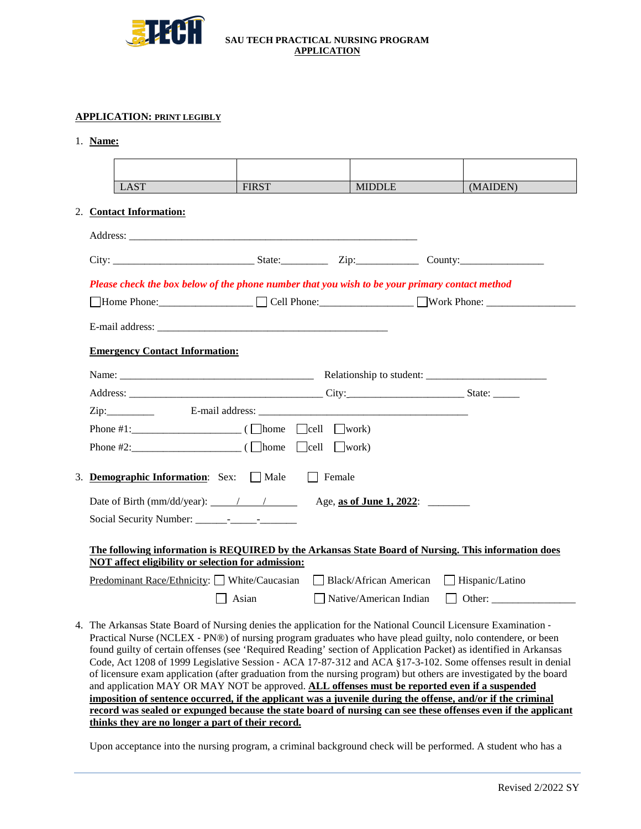

### **APPLICATION: PRINT LEGIBLY**

1. **Name:** 

| <b>LAST</b>                                                                                                                                                                                                                                                                                                                                                                                                                                                                                                                                                                                                                                                                                                                                                                                             | <b>FIRST</b> | <b>MIDDLE</b>            | (MAIDEN) |
|---------------------------------------------------------------------------------------------------------------------------------------------------------------------------------------------------------------------------------------------------------------------------------------------------------------------------------------------------------------------------------------------------------------------------------------------------------------------------------------------------------------------------------------------------------------------------------------------------------------------------------------------------------------------------------------------------------------------------------------------------------------------------------------------------------|--------------|--------------------------|----------|
| 2. Contact Information:                                                                                                                                                                                                                                                                                                                                                                                                                                                                                                                                                                                                                                                                                                                                                                                 |              |                          |          |
|                                                                                                                                                                                                                                                                                                                                                                                                                                                                                                                                                                                                                                                                                                                                                                                                         |              |                          |          |
|                                                                                                                                                                                                                                                                                                                                                                                                                                                                                                                                                                                                                                                                                                                                                                                                         |              |                          |          |
|                                                                                                                                                                                                                                                                                                                                                                                                                                                                                                                                                                                                                                                                                                                                                                                                         |              |                          |          |
| Please check the box below of the phone number that you wish to be your primary contact method                                                                                                                                                                                                                                                                                                                                                                                                                                                                                                                                                                                                                                                                                                          |              |                          |          |
| Home Phone: Cell Phone: North Phone: North Phone:                                                                                                                                                                                                                                                                                                                                                                                                                                                                                                                                                                                                                                                                                                                                                       |              |                          |          |
|                                                                                                                                                                                                                                                                                                                                                                                                                                                                                                                                                                                                                                                                                                                                                                                                         |              |                          |          |
| <b>Emergency Contact Information:</b>                                                                                                                                                                                                                                                                                                                                                                                                                                                                                                                                                                                                                                                                                                                                                                   |              |                          |          |
|                                                                                                                                                                                                                                                                                                                                                                                                                                                                                                                                                                                                                                                                                                                                                                                                         |              |                          |          |
|                                                                                                                                                                                                                                                                                                                                                                                                                                                                                                                                                                                                                                                                                                                                                                                                         |              |                          |          |
|                                                                                                                                                                                                                                                                                                                                                                                                                                                                                                                                                                                                                                                                                                                                                                                                         |              |                          |          |
| Phone #1: $\_\_\_\_\_\_\_\_\_\_\_$ ( $\_\_\_\_\_\_\_\_\_$ ( $\_\_\_\_\_\_\_$ $\_\_\_$ $\_\_\_\_\_\_$ $\_\_\_\_\_\_$                                                                                                                                                                                                                                                                                                                                                                                                                                                                                                                                                                                                                                                                                     |              |                          |          |
|                                                                                                                                                                                                                                                                                                                                                                                                                                                                                                                                                                                                                                                                                                                                                                                                         |              |                          |          |
|                                                                                                                                                                                                                                                                                                                                                                                                                                                                                                                                                                                                                                                                                                                                                                                                         |              | Female                   |          |
| 3. Demographic Information: Sex: Male                                                                                                                                                                                                                                                                                                                                                                                                                                                                                                                                                                                                                                                                                                                                                                   |              |                          |          |
| Date of Birth (mm/dd/year): $\frac{1}{2}$ /                                                                                                                                                                                                                                                                                                                                                                                                                                                                                                                                                                                                                                                                                                                                                             |              | Age, as of June 1, 2022: |          |
|                                                                                                                                                                                                                                                                                                                                                                                                                                                                                                                                                                                                                                                                                                                                                                                                         |              |                          |          |
| The following information is REQUIRED by the Arkansas State Board of Nursing. This information does<br>NOT affect eligibility or selection for admission:                                                                                                                                                                                                                                                                                                                                                                                                                                                                                                                                                                                                                                               |              |                          |          |
| <b>Predominant Race/Ethnicity:</b> White/Caucasian Black/African American Hispanic/Latino                                                                                                                                                                                                                                                                                                                                                                                                                                                                                                                                                                                                                                                                                                               |              |                          |          |
|                                                                                                                                                                                                                                                                                                                                                                                                                                                                                                                                                                                                                                                                                                                                                                                                         | Asian        |                          |          |
| 4. The Arkansas State Board of Nursing denies the application for the National Council Licensure Examination -<br>Practical Nurse (NCLEX - PN®) of nursing program graduates who have plead guilty, nolo contendere, or been<br>found guilty of certain offenses (see 'Required Reading' section of Application Packet) as identified in Arkansas<br>Code, Act 1208 of 1999 Legislative Session - ACA 17-87-312 and ACA §17-3-102. Some offenses result in denial<br>of licensure exam application (after graduation from the nursing program) but others are investigated by the board<br>and application MAY OR MAY NOT be approved. ALL offenses must be reported even if a suspended<br>imposition of sentence occurred, if the applicant was a juvenile during the offense, and/or if the criminal |              |                          |          |

Upon acceptance into the nursing program, a criminal background check will be performed. A student who has a

**thinks they are no longer a part of their record.**

**record was sealed or expunged because the state board of nursing can see these offenses even if the applicant**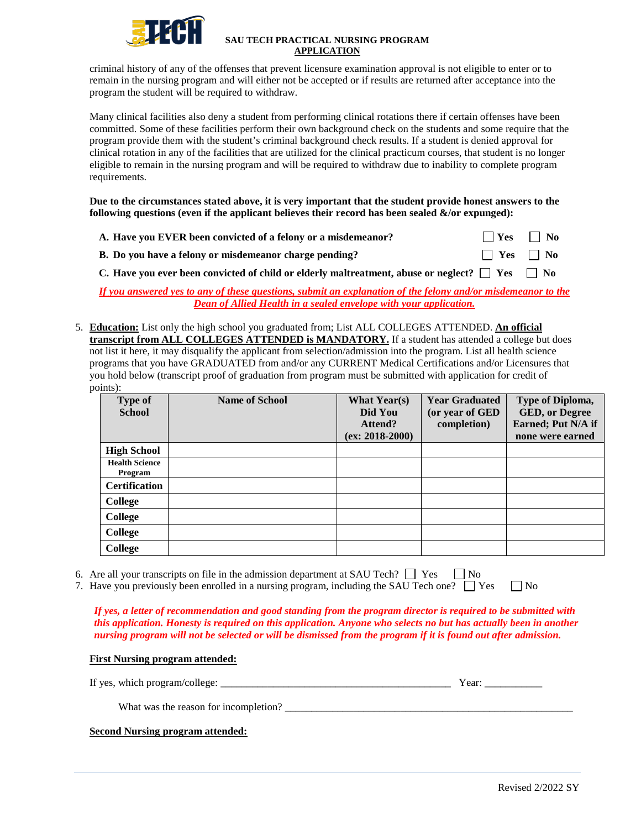

criminal history of any of the offenses that prevent licensure examination approval is not eligible to enter or to remain in the nursing program and will either not be accepted or if results are returned after acceptance into the program the student will be required to withdraw.

Many clinical facilities also deny a student from performing clinical rotations there if certain offenses have been committed. Some of these facilities perform their own background check on the students and some require that the program provide them with the student's criminal background check results. If a student is denied approval for clinical rotation in any of the facilities that are utilized for the clinical practicum courses, that student is no longer eligible to remain in the nursing program and will be required to withdraw due to inability to complete program requirements.

**Due to the circumstances stated above, it is very important that the student provide honest answers to the**  following questions (even if the applicant believes their record has been sealed  $\&$ /or expunged):

| A. Have you EVER been convicted of a felony or a misdemean or? | $\Box$ Yes $\Box$ No |  |
|----------------------------------------------------------------|----------------------|--|
| B. Do you have a felony or misdemeanor charge pending?         | $\Box$ Yes $\Box$ No |  |

**C.** Have you ever been convicted of child or elderly maltreatment, abuse or neglect?  $\Box$  Yes  $\Box$  No

*If you answered yes to any of these questions, submit an explanation of the felony and/or misdemeanor to the Dean of Allied Health in a sealed envelope with your application.*

5. **Education:** List only the high school you graduated from; List ALL COLLEGES ATTENDED. **An official transcript from ALL COLLEGES ATTENDED is MANDATORY.** If a student has attended a college but does not list it here, it may disqualify the applicant from selection/admission into the program. List all health science programs that you have GRADUATED from and/or any CURRENT Medical Certifications and/or Licensures that you hold below (transcript proof of graduation from program must be submitted with application for credit of points):

| <b>Type of</b><br><b>School</b>  | <b>Name of School</b> | <b>What Year(s)</b><br>Did You | <b>Year Graduated</b><br>(or year of GED | Type of Diploma,<br><b>GED, or Degree</b> |
|----------------------------------|-----------------------|--------------------------------|------------------------------------------|-------------------------------------------|
|                                  |                       | Attend?<br>$(ex: 2018-2000)$   | completion)                              | Earned; Put N/A if<br>none were earned    |
| <b>High School</b>               |                       |                                |                                          |                                           |
| <b>Health Science</b><br>Program |                       |                                |                                          |                                           |
| <b>Certification</b>             |                       |                                |                                          |                                           |
| College                          |                       |                                |                                          |                                           |
| College                          |                       |                                |                                          |                                           |
| College                          |                       |                                |                                          |                                           |
| <b>College</b>                   |                       |                                |                                          |                                           |

|  |  |  |  | 6. Are all your transcripts on file in the admission department at SAU Tech? $\Box$ Yes $\Box$ No |  |  |
|--|--|--|--|---------------------------------------------------------------------------------------------------|--|--|
|--|--|--|--|---------------------------------------------------------------------------------------------------|--|--|

7. Have you previously been enrolled in a nursing program, including the SAU Tech one?  $\Box$  Yes  $\Box$  No

*If yes, a letter of recommendation and good standing from the program director is required to be submitted with this application. Honesty is required on this application. Anyone who selects no but has actually been in another nursing program will not be selected or will be dismissed from the program if it is found out after admission.*

### **First Nursing program attended:**

| If ves.<br>college.<br>ear<br>nroq<br>wn10<br>ramzo |  |
|-----------------------------------------------------|--|
|-----------------------------------------------------|--|

What was the reason for incompletion?

**Second Nursing program attended:**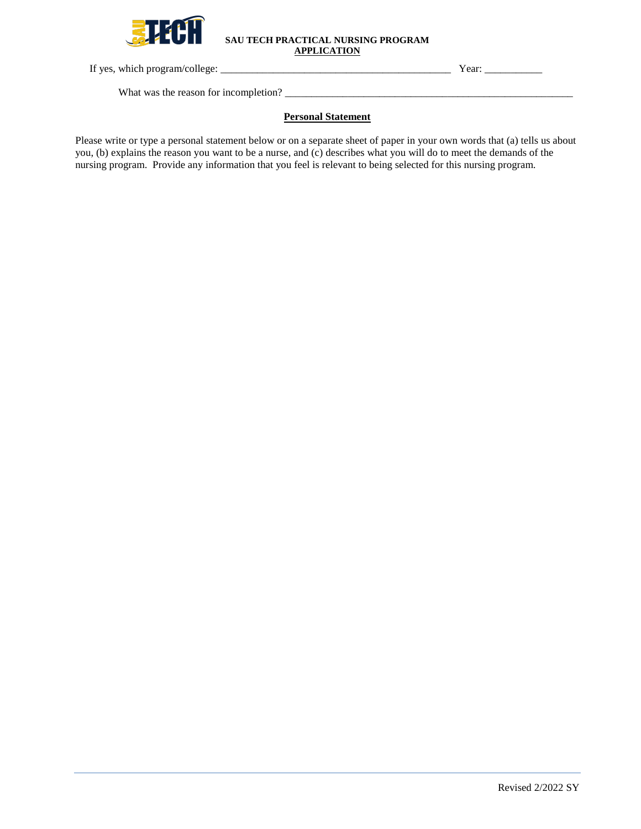

If yes, which program/college: \_\_\_\_\_\_\_\_\_\_\_\_\_\_\_\_\_\_\_\_\_\_\_\_\_\_\_\_\_\_\_\_\_\_\_\_\_\_\_\_\_\_\_\_ Year: \_\_\_\_\_\_\_\_\_\_\_

What was the reason for incompletion? \_\_\_\_\_\_\_\_\_\_\_\_\_\_\_\_\_\_\_\_\_\_\_\_\_\_\_\_\_\_\_\_\_\_\_\_\_\_\_\_\_\_\_\_\_\_\_\_\_\_\_\_\_\_\_

### **Personal Statement**

Please write or type a personal statement below or on a separate sheet of paper in your own words that (a) tells us about you, (b) explains the reason you want to be a nurse, and (c) describes what you will do to meet the demands of the nursing program. Provide any information that you feel is relevant to being selected for this nursing program.